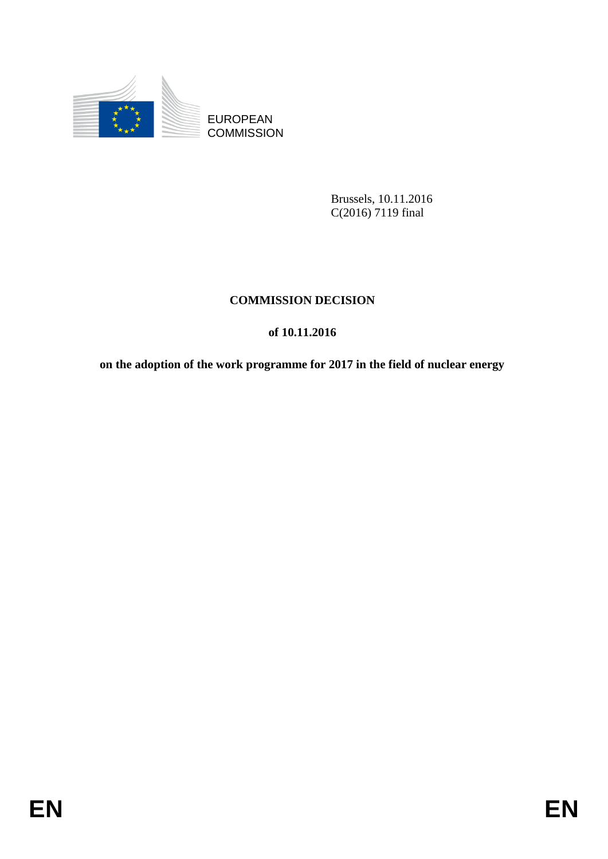

**COMMISSION** 

Brussels, 10.11.2016 C(2016) 7119 final

# **COMMISSION DECISION**

# **of 10.11.2016**

EUROPEAN<br>
EUROPEAN<br>
ENTRE COMMISSION<br>
Runsels, 10, 11,2016<br>
COMMISSION<br>
DENTRE COMMISSION<br>
OF 10-11,2016<br>
OF 10-11,2016<br>
on the adoption of the work programme for 2017 in the field of nuclear energy<br>
FINEN **on the adoption of the work programme for 2017 in the field of nuclear energy**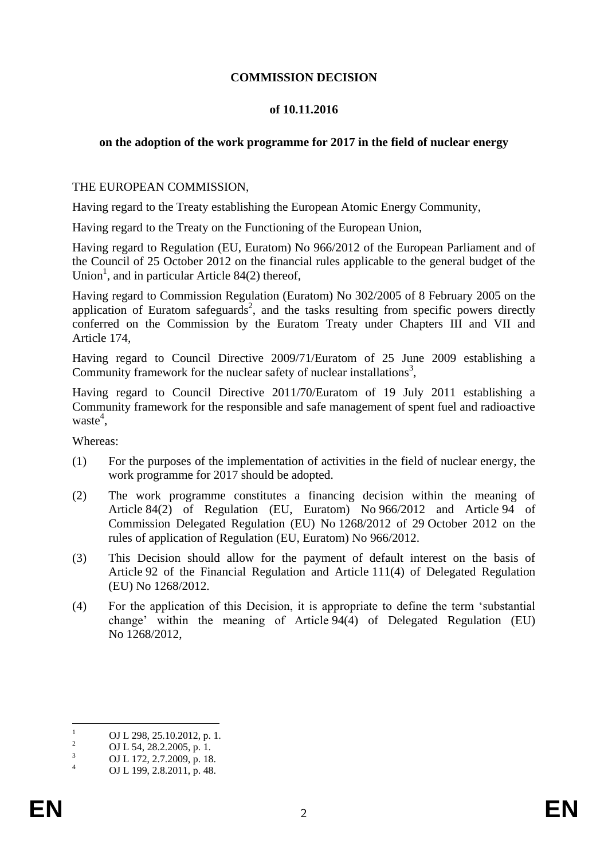## **COMMISSION DECISION**

## **of 10.11.2016**

# **on the adoption of the work programme for 2017 in the field of nuclear energy**

## THE EUROPEAN COMMISSION,

Having regard to the Treaty establishing the European Atomic Energy Community,

Having regard to the Treaty on the Functioning of the European Union,

Having regard to Regulation (EU, Euratom) No 966/2012 of the European Parliament and of the Council of 25 October 2012 on the financial rules applicable to the general budget of the Union<sup>1</sup>, and in particular Article 84 $(2)$  thereof,

Having regard to Commission Regulation (Euratom) No 302/2005 of 8 February 2005 on the application of Euratom safeguards<sup>2</sup>, and the tasks resulting from specific powers directly conferred on the Commission by the Euratom Treaty under Chapters III and VII and Article 174,

Having regard to Council Directive 2009/71/Euratom of 25 June 2009 establishing a Community framework for the nuclear safety of nuclear installations<sup>3</sup>,

Having regard to Council Directive 2011/70/Euratom of 19 July 2011 establishing a Community framework for the responsible and safe management of spent fuel and radioactive waste<sup>4</sup>,

Whereas:

- (1) For the purposes of the implementation of activities in the field of nuclear energy, the work programme for 2017 should be adopted.
- (2) The work programme constitutes a financing decision within the meaning of Article 84(2) of Regulation (EU, Euratom) No 966/2012 and Article 94 of Commission Delegated Regulation (EU) No 1268/2012 of 29 October 2012 on the rules of application of Regulation (EU, Euratom) No 966/2012.
- (3) This Decision should allow for the payment of default interest on the basis of Article 92 of the Financial Regulation and Article 111(4) of Delegated Regulation (EU) No 1268/2012.
- (4) For the application of this Decision, it is appropriate to define the term 'substantial change' within the meaning of Article 94(4) of Delegated Regulation (EU) No 1268/2012,

 $\mathbf{1}$  $\frac{1}{2}$  OJ L 298, 25.10.2012, p. 1.

<sup>&</sup>lt;sup>2</sup> OJ L 54, 28.2.2005, p. 1.<br>
OJ L 172, 2.7.2000, p. 18

 $\frac{3}{4}$  OJ L 172, 2.7.2009, p. 18.

OJ L 199, 2.8.2011, p. 48.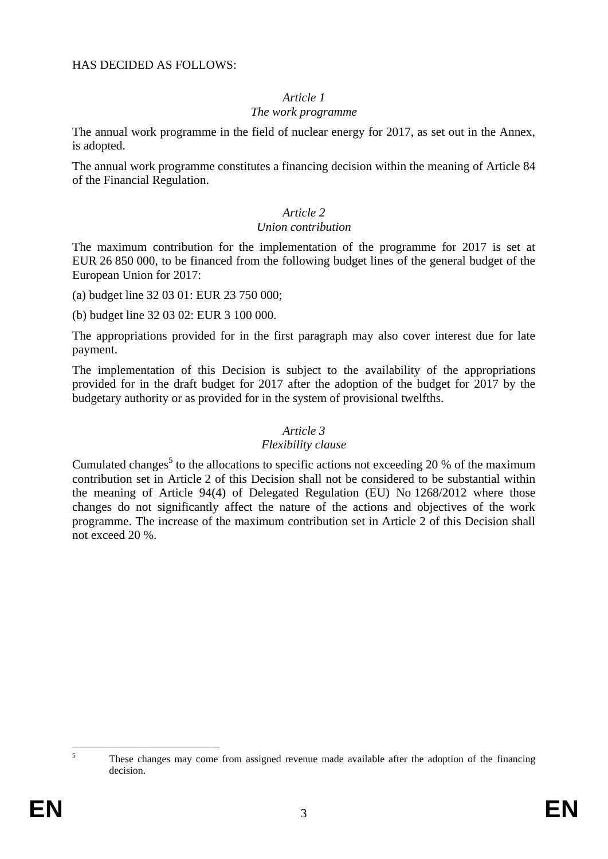# *Article 1*

## *The work programme*

The annual work programme in the field of nuclear energy for 2017, as set out in the Annex, is adopted.

The annual work programme constitutes a financing decision within the meaning of Article 84 of the Financial Regulation.

# *Article 2*

#### *Union contribution*

The maximum contribution for the implementation of the programme for 2017 is set at EUR 26 850 000, to be financed from the following budget lines of the general budget of the European Union for 2017:

(a) budget line 32 03 01: EUR 23 750 000;

(b) budget line 32 03 02: EUR 3 100 000.

The appropriations provided for in the first paragraph may also cover interest due for late payment.

The implementation of this Decision is subject to the availability of the appropriations provided for in the draft budget for 2017 after the adoption of the budget for 2017 by the budgetary authority or as provided for in the system of provisional twelfths.

# *Article 3*

#### *Flexibility clause*

Cumulated changes<sup>5</sup> to the allocations to specific actions not exceeding 20 % of the maximum contribution set in Article 2 of this Decision shall not be considered to be substantial within the meaning of Article 94(4) of Delegated Regulation (EU) No 1268/2012 where those changes do not significantly affect the nature of the actions and objectives of the work programme. The increase of the maximum contribution set in Article 2 of this Decision shall not exceed 20 %.

 $\overline{5}$ <sup>5</sup> These changes may come from assigned revenue made available after the adoption of the financing decision.